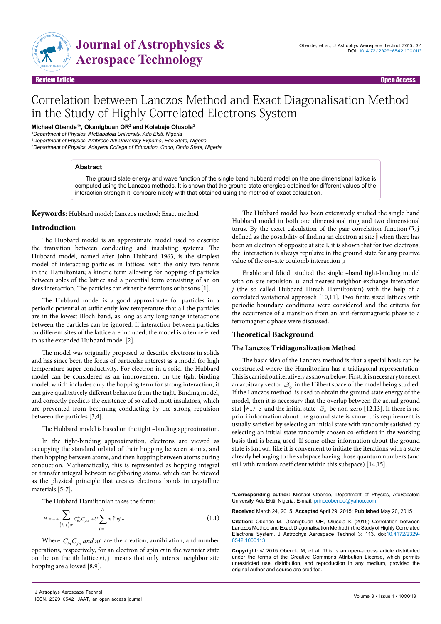

# **Journal of Astrophysics & Aerospace Technology**

Review Article Communication of the contract of the contract of the contract of the contract of the contract of the contract of the contract of the contract of the contract of the contract of the contract of the contract o

# Correlation between Lanczos Method and Exact Diagonalisation Method in the Study of Highly Correlated Electrons System

**Michael Obende1 \*, Okanigbuan OR2 and Kolebaje Olusola3**

<sup>1</sup>Department of Physics, AfeBabalola University, Ado Ekiti, Nigeria

<sup>2</sup>Department of Physics, Ambrose Alli University Ekpoma, Edo State, Nigeria <sup>3</sup>Department of Physics, Adeyemi College of Education, Ondo, Ondo State, Nigeria

# **Abstract**

The ground state energy and wave function of the single band hubbard model on the one dimensional lattice is computed using the Lanczos methods. It is shown that the ground state energies obtained for different values of the interaction strength it, compare nicely with that obtained using the method of exact calculation.

**Keywords:** Hubbard model; Lanczos method; Exact method

# **Introduction**

The Hubbard model is an approximate model used to describe the transition between conducting and insulating systems. The Hubbard model, named after John Hubbard 1963, is the simplest model of interacting particles in lattices, with the only two tennis in the Hamiltonian; a kinetic term allowing for hopping of particles between soles of the lattice and a potential term consisting of an on sites interaction. The particles can either be fermions or bosons [1].

The Hubbard model is a good approximate for particles in a periodic potential at sufficiently low temperature that all the particles are in the lowest Bloch band, as long as any long-range interactions between the particles can be ignored. If interaction between particles on different sites of the lattice are included, the model is often referred to as the extended Hubbard model [2].

The model was originally proposed to describe electrons in solids and has since been the focus of particular interest as a model for high temperature super conductivity. For electron in a solid, the Hubbard model can be considered as an improvement on the tight-binding model, which includes only the hopping term for strong interaction, it can give qualitatively different behavior from the tight. Binding model, and correctly predicts the existence of so called mott insulators, which are prevented from becoming conducting by the strong repulsion between the particles [3,4].

The Hubbard model is based on the tight –binding approximation.

In the tight-binding approximation, electrons are viewed as occupying the standard orbital of their hopping between atoms, and then hopping between atoms, and then hopping between atoms during conduction. Mathematically, this is represented as hopping integral or transfer integral between neighboring atoms, which can be viewed as the physical principle that creates electrons bonds in crystalline materials [5-7].

The Hubbard Hamiltonian takes the form:

$$
H = -\frac{1}{(i,j)\sigma} C_{i\sigma}^{+} C_{j\sigma} + U \sum_{i=1}^{N} n_i \uparrow n_j \downarrow
$$
 (1.1)

Where  $C_{i\sigma}^{\dagger}C_{j\sigma}$  *and ni* are the creation, annihilation, and number operations, respectively, for an electron of spin  $\sigma$  in the wannier state on the on the ith lattice *F*i, j means that only interest neighbor site hopping are allowed [8,9].

The Hubbard model has been extensively studied the single band Hubbard model in both one dimensional ring and two dimensional torus. By the exact calculation of the pair correlation function *F*i, j defined as the possibility of finding an electron at site  $\mathbf{j}$  when there has been an electron of opposite at site I, it is shown that for two electrons, the interaction is always repulsive in the ground state for any positive value of the on–site coulomb interaction u .

Enable and Idiodi studied the single –band tight-binding model with on-site repulsion u and nearest neighbor-exchange interaction *j* (the so called Hubbard Hirsch Hamiltonian) with the help of a correlated variational approach [10,11]. Two finite sized lattices with periodic boundary conditions were considered and the criteria for the occurrence of a transition from an anti-ferromagnetic phase to a ferromagnetic phase were discussed.

# **Theoretical Background**

# **The Lanczos Tridiagonalization Method**

The basic idea of the Lanczos method is that a special basis can be constructed where the Hamiltonian has a tridiagonal representation. This is carried out iteratively as shown below. First, it is necessary to select an arbitrary vector  $\varnothing$  in the Hilbert space of the model being studied. If the Lanczos method is used to obtain the ground state energy of the model, then it is necessary that the overlap between the actual ground stat  $\ket{\neq}$  e and the initial state  $\ket{\emptyset}$  be non-zero [12,13]. If there is no priori information about the ground state is know, this requirement is usually satisfied by selecting an initial state with randomly satisfied by selecting an initial state randomly chosen co-efficient in the working basis that is being used. If some other information about the ground state is known, like it is convenient to initiate the iterations with a state already belonging to the subspace having those quantum numbers (and still with random coefficient within this subspace) [14,15].

**\*Corresponding author:** Michael Obende, Department of Physics, AfeBabalola University, Ado Ekiti, Nigeria, E-mail: princeobende@yahoo.com

**Received** March 24, 2015; **Accepted** April 29, 2015; **Published** May 20, 2015

**Citation:** Obende M, Okanigbuan OR, Olusola K (2015) Correlation between Lanczos Method and Exact Diagonalisation Method in the Study of Highly Correlated Electrons System. J Astrophys Aerospace Technol 3: 113. doi:10.4172/2329- 6542.1000113

**Copyright:** © 2015 Obende M, et al. This is an open-access article distributed under the terms of the Creative Commons Attribution License, which permits unrestricted use, distribution, and reproduction in any medium, provided the original author and source are credited.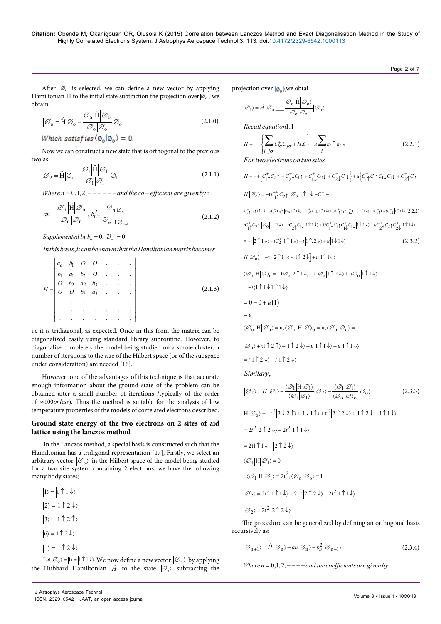After  $|0\rangle$  is selected, we can define a new vector by applying Hamiltonian H to the initial state subtraction the projection over ∅*<sup>o</sup>* , we obtain.

$$
|\mathcal{O}_o = \hat{H}| \mathcal{O}_o - \frac{\mathcal{O}_o |\hat{H}| \mathcal{O}_0}{\mathcal{O}_o |\mathcal{O}_o} |\mathcal{O}_o \qquad (2.1.0)
$$

Which satisfies  $\langle \emptyset_0 | \emptyset_0 \rangle = 0$ .

Now we can construct a new state that is orthogonal to the previous two as: Hˆ

$$
S_2 = \hat{H} | S_0 - \frac{\mathcal{O}_1 | \hat{H} | \mathcal{O}_1}{\mathcal{O}_1 | \mathcal{O}_1} | \mathcal{O}_1
$$
\n(2.1.1)

*Where n* =  $0, 1, 2,$   $-- ---$  *and the co*  $-$  *efficient are given by*:

$$
an = \frac{\mathcal{O}_n \left| \hat{H} \right| \mathcal{O}_n}{\mathcal{O}_n \left| \mathcal{O}_n \right|}, b_{n=1}^2 \frac{\mathcal{O}_{n \left| \mathcal{O}_n \right|}}{\mathcal{O}_{n-1 \left| \mathcal{O}_{n-1} \right|}} \tag{2.1.2}
$$

Supplemented by  $b_0 = 0, |\varnothing_{-1} = 0$ 

In this basis, *it can be shown that the Hamiltonian matrix becomes* 

$$
H = \begin{bmatrix} a_0 & b_1 & O & O & . & . & . \\ b_1 & a_1 & b_2 & O & . & . & . \\ O & b_2 & a_2 & b_3 & . & . & . \\ O & O & b_3 & a_3 & . & . & . \\ . & . & . & . & . & . & . \\ . & . & . & . & . & . & . \end{bmatrix}
$$
(2.1.3)

i.e it is tridiagonal, as expected. Once in this form the matrix can be diagonalized easily using standard library subroutine. However, to diagonalise completely the model being studied on a smote cluster, a number of iterations to the size of the Hilbert space (or of the subspace under consideration) are needed [16].

However, one of the advantages of this technique is that accurate enough information about the ground state of the problem can be obtained after a small number of iterations /typically of the order of  $\approx 100$  or less). Thus the method is suitable for the analysis of low temperature properties of the models of correlated electrons described.

# **Ground state energy of the two electrons on 2 sites of aid lattice using the lanczos method**

 In the Lanczos method, a special basis is constructed such that the Hamiltonian has a tridigonal representation [17], Firstly, we select an arbitrary vector  $| \mathcal{O}_0 \rangle$  in the Hilbert space of the model being studied for a two site system containing 2 electrons, we have the following many body states;

$$
|1\rangle = |1 \uparrow 1 \downarrow\rangle
$$
  
\n
$$
|2\rangle = |1 \uparrow 2 \downarrow\rangle
$$
  
\n
$$
|3\rangle = |1 \uparrow 2 \uparrow\rangle
$$
  
\n
$$
|6\rangle = |1 \uparrow 2 \downarrow\rangle
$$
  
\n
$$
|3\rangle = |1 \uparrow 2 \downarrow\rangle
$$

Let  $|\varnothing_0\rangle = |1\rangle = |1 \uparrow 1 \downarrow\rangle$ . We now define a new vector  $|\varnothing_0\rangle$  by applying the Hubbard Hamiltonian  $\hat{H}$  to the state  $|\mathcal{O}_0\rangle$  subtracting the projection over  $\mathcal{A}_0$ , we obtai

$$
|\mathscr{O}_1\rangle = \hat{H} |\mathscr{O}_0 \_\_\_ \frac{\mathscr{O}_0}{\mathscr{O}_0 |\mathscr{O}_0} \frac{|\hat{H}| \mathscr{O}_0}{|\mathscr{O}_0 \rangle}
$$

 $Recall equation 1.1$ 

$$
H = -\left\{ \sum_{i,j\sigma} C_{i\sigma}^+ C_{j\sigma} + H.C \right\} + u \sum_{i} n_i \uparrow n_i \downarrow
$$
  
For two electrons on two sites (2.2.1)

$$
H = -\left\{ C_{11}^{+} C_{2} \uparrow + C_{21}^{+} C_{11} + C_{11}^{+} C_{2} \downarrow + C_{21}^{+} C_{11} \right\} + u \left\{ C_{11}^{+} C_{11} C_{1} \downarrow C_{1} \downarrow + C_{21}^{+} C_{2} \right\}
$$

$$
H \left| \mathcal{O}_{0} \right\rangle = -t C_{11}^{+} C_{21} \left| \mathcal{O}_{0} \right| 1 \uparrow 1 \downarrow + C^{+} -
$$

 $IC_{21}^{+}C_{11}^{+11}\downarrow\rangle - IC_{11}^{+}C_{21}^{-1}|\varnothing_{0}|1\uparrow\downarrow\rangle - IC_{21}^{+}C_{1\downarrow}\|1\uparrow\downarrow\rangle + UC_{11}^{+}C_{11}C_{1\downarrow}^{+}C_{1\downarrow}\|1\uparrow\downarrow\rangle + uc_{21}^{+}C_{21}C_{2\downarrow}^{+}|1\uparrow\downarrow\rangle \tag{2.2.2}$  $11 \leftarrow 10 \leftarrow 10 \leftarrow 10 \leftarrow 11 \leftarrow 10 \leftarrow 10 \leftarrow 10 \leftarrow 11 \leftarrow 10 \leftarrow 10 \leftarrow 10 \leftarrow 10 \leftarrow 10 \leftarrow 10 \leftarrow 10 \leftarrow 10 \leftarrow 10 \leftarrow 10 \leftarrow 10 \leftarrow 10 \leftarrow 10 \leftarrow 10 \leftarrow 10 \leftarrow 10 \leftarrow 10 \leftarrow 10 \leftarrow 10 \leftarrow 10 \leftarrow 10 \leftarrow 10 \leftarrow 10 \leftarrow 10 \leftarrow 10 \leftarrow 10 \leftarrow 10 \leftarrow 10 \left$ 

$$
-t\left|2\uparrow 1\downarrow\right\rangle -tC_{2}^{+}\left|1\uparrow 1\downarrow\right\rangle -t\left|1\uparrow 2\downarrow\right\rangle +u\left|1\downarrow 1\downarrow\right\rangle \tag{2.3.2}
$$

$$
H\left|\mathcal{O}_{\mathbf{0}}\right\rangle = -\mathbf{t}\left[\left|2\uparrow 1\downarrow\right\rangle + \left|1\uparrow 2\downarrow\right\rangle + u\left|1\uparrow 1\downarrow\right\rangle\right]
$$

$$
\langle \varnothing_{o}\left|H\right|\varnothing\rangle_{o}=-t\varnothing_{o}\left|2\mathop{\uparrow}1\downarrow\rangle-t\left|\varnothing_{o}\right|1\mathop{\uparrow}2\downarrow\rangle+u\varnothing_{o}\left|1\mathop{\uparrow}1\downarrow\rangle\right.
$$

$$
= -t \langle 1 \uparrow 1 \downarrow 1 \uparrow 1 \downarrow \rangle
$$
  
= 0 - 0 + u(1)  
= u

$$
\langle \mathscr{O}_o\big|H\big| \mathscr{O}_o\rangle\!=\!u, \langle \mathscr{O}_o\big|H\big| \mathscr{O}\rangle_o\!=\!u, \langle \mathscr{O}_o\big| \mathscr{O}_o\rangle\!=\!1
$$

$$
|\varnothing_0\rangle + t1 \uparrow 2 \uparrow\rangle - |1 \uparrow 2 \downarrow\rangle + u |1 \uparrow 1 \downarrow\rangle - u |1 \uparrow 1 \downarrow\rangle
$$
  
=  $t |1 \uparrow 2 \downarrow\rangle - t |1 \uparrow 2 \downarrow\rangle$ 

, *Similary*

$$
|\varnothing_2\rangle = H \left| \varnothing_1 \right\rangle - \frac{\langle \varnothing_1 | H | \varnothing_1 \rangle}{\langle \varnothing_1 | \varnothing_1 \rangle} |\varnothing_2\rangle - \frac{\langle \varnothing_1 | \varnothing_1 \rangle}{\langle \varnothing_0 | \varnothing \rangle_0} |\varnothing_0 \rangle \right.
$$
\n(2.3.3)  
\n
$$
H |\varnothing_0 \rangle = -t^2 | 2 \downarrow 2 \uparrow \rangle + | \downarrow 1 \uparrow \rangle + t^2 | 2 \uparrow 2 \downarrow \rangle + | \uparrow 2 \downarrow + | \uparrow 1 \downarrow \rangle
$$
\n
$$
= 2t^2 | 2 \uparrow 2 \downarrow \rangle + 2t^2 | \uparrow \uparrow \downarrow \rangle
$$
\n
$$
= 2t \uparrow 1 \downarrow + | 2 \uparrow 2 \downarrow \rangle
$$
\n
$$
\langle \varnothing_1 | H | \varnothing_1 \rangle = 0
$$
\n
$$
\langle \varnothing_1 | H | \varnothing_1 \rangle = 2t^2, \langle \varnothing_0 | \varnothing_0 \rangle = 1
$$
\n
$$
|\varnothing_2 \rangle = 2t^2 | \uparrow 1 \downarrow \rangle + 2t^2 | 2 \uparrow 2 \downarrow \rangle - 2t^2 | \uparrow 1 \downarrow \rangle
$$
\n
$$
|\varnothing_2 \rangle = 2t^2 | 2 \uparrow 2 \downarrow \rangle
$$
\n(2.3.3)

The procedure can be generalized by defining an orthogonal basis recursively as:

$$
\left|\mathcal{O}_{n+1}\right\rangle = \hat{H}\left|\mathcal{O}_n\right\rangle - an\left|\mathcal{O}_n\right\rangle - b_n^2 \left|\mathcal{O}_{n-1}\right\rangle\tag{2.3.4}
$$

*Where*  $n = 0, 1, 2, ---$  *and the coefficients are given by*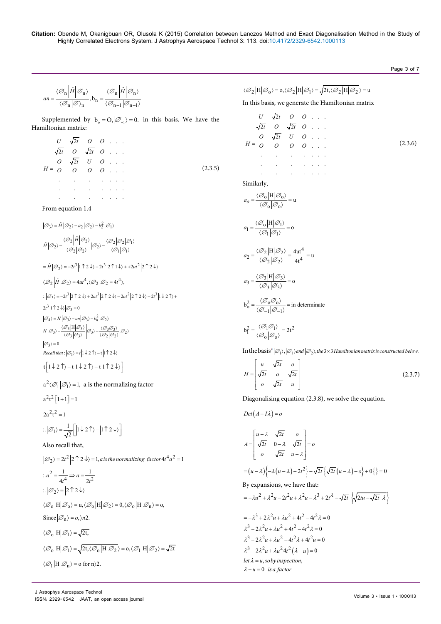# Page 3 of 7

$$
an = \frac{\langle \mathcal{O}_n \left| \hat{H} \right| \mathcal{O}_n}{\langle \mathcal{O}_n \left| \mathcal{O} \right\rangle_n}, b_n = \frac{\langle \mathcal{O}_n \left| \hat{H} \right| \mathcal{O}_n}{\langle \mathcal{O}_{n-1} \left| \mathcal{O}_{n-1} \right\rangle_n}
$$

Supplemented by  $b_0 = O$ ,  $|\mathcal{O}_{-1}\rangle = 0$ . in this basis. We have the Hamiltonian matrix:

$$
U \sqrt{2t} \quad O \quad O \quad . . .
$$
  
\n
$$
\sqrt{2t} \quad O \quad \sqrt{2t} \quad O \quad . . . .
$$
  
\n
$$
H = O \quad O \quad O \quad O \quad . . . .
$$
  
\n
$$
...
$$
  
\n
$$
...
$$
  
\n
$$
...
$$
  
\n
$$
(2.3.5)
$$

From equation 1.4

 $\left| \mathcal{O}_3 \right> = \hat{H} \left| \mathcal{O}_2 \right> - a_2 \left| \mathcal{O}_2 \right> - b_2^2 \left| \mathcal{O}_1 \right>$  $\sim 10^{-10}$ 

$$
\hat{H}|\varnothing_2\rangle-\frac{\langle\varnothing_2\big|\hat{H}\big|\varnothing_2\rangle}{\langle\varnothing_2\big|\varnothing_2\rangle}\big|\varnothing_2\rangle-\frac{\langle\varnothing_2\big|\varnothing_1\big|\varnothing_1\rangle}{\langle\varnothing_1\big|\varnothing_1\rangle}
$$

$$
= \hat{H} |\varnothing_2\rangle = -2t^3 |1 \uparrow 2 \downarrow\rangle - 2t^3 |2 \uparrow 1 \downarrow\rangle + +2ut^2 |2 \uparrow 2 \downarrow\rangle
$$

 $\langle \emptyset_2 | \hat{H} | \emptyset_2 \rangle = 4ut^4, \langle \emptyset_2 | \emptyset_2 = 4t^4 \rangle,$ 

$$
\begin{split} &\left|\mathcal{O}_{3}\right\rangle=-2t^{3}\left|2\uparrow2\downarrow\right\rangle+2ut^{3}\left|2\uparrow2\downarrow\right\rangle-2ut^{2}\left|2\uparrow2\downarrow\right\rangle-2t^{3}\left|1\downarrow2\uparrow\right\rangle+\\ &2t^{3}\left|1\uparrow2\downarrow\right\rangle\left|\mathcal{O}_{3}=0\\ &\left|\mathcal{O}_{4}\right\rangle=H\left|\mathcal{O}_{3}\right\rangle-an\left|\mathcal{O}_{3}\right\rangle-b_{n}^{2}\left|\mathcal{O}_{2}\right\rangle\\ &H\left|\mathcal{O}_{3}\right\rangle-\frac{\left\langle\mathcal{O}_{3}\left|H\right|\mathcal{O}_{3}\right\rangle}{\left\langle\mathcal{O}_{3}\left|\mathcal{O}_{3}\right\rangle}\right|\mathcal{O}_{3}\right\rangle-\frac{\left\langle\mathcal{O}_{3}\mathcal{O}_{3}\right\rangle}{\left\langle\mathcal{O}_{2}\left|\mathcal{O}_{2}\right\rangle}\left|\mathcal{O}_{2}\right\rangle\\ &\cdot \end{split}
$$

 $\varnothing_3$  > = 0  $Recall that: |\varnothing_1\rangle = t | 1 \downarrow 2 \uparrow \rangle - t | 1 \uparrow 2 \downarrow \rangle$ 

$$
t\left[1\downarrow2\uparrow\rangle-t\left|1\downarrow2\uparrow\rangle-t\left|1\uparrow2\downarrow\rangle\right.\right]
$$

$$
a^{2}\langle\varnothing_{1}|\varnothing_{1}\rangle=1, \text{ a is the normalizing factor}
$$
  
\n
$$
a^{2}t^{2}[1+1]=1
$$
  
\n
$$
2a^{2}t^{2}=1
$$
  
\n
$$
\therefore |\varnothing_{1}\rangle=\frac{1}{\sqrt{2}}\Big[\Big|1\downarrow2\uparrow\rangle-\Big|1\uparrow2\downarrow\rangle\Big]
$$
  
\nAlso recall that,

$$
|\varnothing_2\rangle = 2t^2 |2 \uparrow 2 \downarrow \rangle = 1, a is the normalizing factor 4t^4 a^2 = 1
$$
  
\n
$$
\therefore a^2 = \frac{1}{4t^4} \Rightarrow a = \frac{1}{2t^2}
$$
  
\n
$$
\therefore |\varnothing_2\rangle = |2 \uparrow 2 \downarrow \rangle
$$
  
\n
$$
\langle \varnothing_0 |H| \varnothing_0 \rangle = u, \langle \varnothing_0 |H| \varnothing_2 \rangle = 0, \langle \varnothing_0 |H| \varnothing_1 \rangle = 0,
$$
  
\nSince  $|\varnothing_1\rangle = o, \rangle n2$ .  
\n
$$
\langle \varnothing_0 |H| \varnothing_1 \rangle = \sqrt{2t},
$$
  
\n
$$
\langle \varnothing_0 |H| \varnothing_1 \rangle = \sqrt{2t, \langle \varnothing_0 |H| \varnothing_2 \rangle} = 0, \langle \varnothing_1 |H| \varnothing_2 \rangle = \sqrt{2t}
$$
  
\n
$$
\langle \varnothing_1 |H| \varnothing_1 \rangle = o \text{ for } n \rangle 2.
$$

$$
\langle \mathcal{O}_2 \left| H \right| \mathcal{O}_0 \rangle = o, \langle \mathcal{O}_2 \left| H \right| \mathcal{O}_1 \rangle = \sqrt{2t, \langle \mathcal{O}_2 \left| H \right| \mathcal{O}_2} \rangle = u
$$

In this basis, we generate the Hamiltonian matrix

$$
U \sqrt{2t} \quad O \quad O \quad \dots
$$
  
\n
$$
\sqrt{2t} \quad O \quad \sqrt{2t} \quad O \quad \dots
$$
  
\n
$$
H = O \quad O \quad O \quad O \quad \dots
$$
  
\n
$$
\dots
$$
  
\nSimilarly,  
\n
$$
a_0 = \frac{\langle \mathcal{O}_0 | H | \mathcal{O}_0 \rangle}{\langle \mathcal{O}_0 | \mathcal{O}_0 \rangle} = u
$$
  
\n
$$
a_1 = \frac{\langle \mathcal{O}_0 | H | \mathcal{O}_1 \rangle}{\langle \mathcal{O}_1 | \mathcal{O}_1 \rangle} = 0
$$
  
\n
$$
a_2 = \frac{\langle \mathcal{O}_2 | H | \mathcal{O}_2 \rangle}{\langle \mathcal{O}_2 | \mathcal{O}_2 \rangle} = \frac{4ut^4}{4t^4} = u
$$
  
\n
$$
a_3 = \frac{\langle \mathcal{O}_3 | H | \mathcal{O}_3 \rangle}{\langle \mathcal{O}_3 | \mathcal{O}_3 \rangle} = 0
$$
  
\n
$$
b_0^2 = \frac{\langle \mathcal{O}_0 \mathcal{O}_0 \rangle}{\langle \mathcal{O}_{-1} | \mathcal{O}_{-1} \rangle} = in determinate
$$
  
\n
$$
b_1^2 = \frac{\langle \mathcal{O}_1 \mathcal{O}_1 \rangle}{\langle \mathcal{O}_0 | \mathcal{O}_0 \rangle} = 2t^2
$$

In the basis  $|\varnothing_1\rangle$ ,  $|\varnothing_1\rangle$  and  $|\varnothing_2\rangle$ , the 3 × 3 Hamiltonian matrix is constructed below.

$$
H = \begin{bmatrix} u & \sqrt{2t} & o \\ \sqrt{2t} & o & \sqrt{2t} \\ o & \sqrt{2t} & u \end{bmatrix}
$$
 (2.3.7)

Diagonalising equation (2.3.8), we solve the equation.

 $Dct(A-I\lambda)=o$ 

$$
A = \begin{bmatrix} u - \lambda & \sqrt{2t} & o \\ \sqrt{2t} & 0 - \lambda & \sqrt{2t} \\ o & \sqrt{2t} & u - \lambda \end{bmatrix} = o
$$
  
\n
$$
= (u - \lambda) \Big\{ -\lambda (u - \lambda) - 2t^2 \Big\} - \sqrt{2t} \Big\{ \sqrt{2t} (u - \lambda) - o \Big\} + 0 \Big\} = 0
$$
  
\nBy expansions, we have that:  
\n
$$
= -\lambda u^2 + \lambda^2 u - 2t^2 u + \lambda^2 u - \lambda^3 + 2t^2 - \sqrt{2t} \Big\{ \sqrt{2tu - \sqrt{2t} \lambda} \Big\}
$$
  
\n
$$
= -\lambda^3 + 2\lambda^2 u + \lambda u^2 + 4t^2 - 4t^2 \lambda = 0
$$
  
\n
$$
\lambda^3 - 2\lambda^2 u + \lambda u^2 + 4t^2 - 4t^2 \lambda = 0
$$
  
\n
$$
\lambda^3 - 2\lambda^2 u + \lambda u^2 + 4t^2 - 4t^2 \lambda = 0
$$
  
\n
$$
\lambda^3 - 2\lambda^2 u + \lambda u^2 + 4t^2 ( \lambda - u ) = 0
$$
  
\nlet  $\lambda = u$ , so by inspection,  
\n
$$
\lambda - u = 0
$$
 is a factor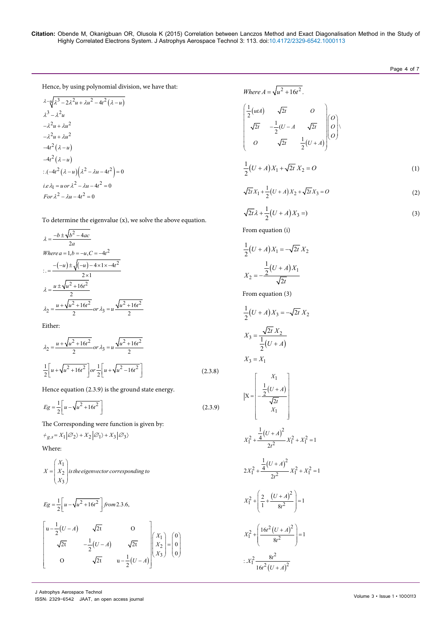Page 4 of 7

Hence, by using polynomial division, we have that:

$$
\lambda - \sqrt{u} \lambda^3 - 2\lambda^2 u + \lambda u^2 - 4t^2 (\lambda - u)
$$
  
\n
$$
\lambda^3 - \lambda^2 u
$$
  
\n
$$
-\lambda^2 u + \lambda u^2
$$
  
\n
$$
-4t^2 (\lambda - u)
$$
  
\n
$$
-4t^2 (\lambda - u)
$$
  
\n
$$
\therefore (-4t^2 (\lambda - u) (\lambda^2 - \lambda u - 4t^2) = 0
$$
  
\ni.e.  $\lambda_1 = u \text{ or } \lambda^2 - \lambda u - 4t^2 = 0$   
\nFor  $\lambda^2 - \lambda u - 4t^2 = 0$ 

To determine the eigenvalue (x), we solve the above equation.

$$
\lambda = \frac{-b \pm \sqrt{b^2 - 4ac}}{2a}
$$
  
Where  $a = 1, b = -u, C = -4t^2$   

$$
\therefore = \frac{-(-u) \pm \sqrt{(-u) - 4 \times 1 \times -4t^2}}{2 \times 1}
$$
  

$$
\lambda = \frac{u \pm \sqrt{u^2 + 16t^2}}{2}
$$
  

$$
\lambda_2 = \frac{u + \sqrt{u^2 + 16t^2}}{2} \text{ or } \lambda_3 = u \frac{\sqrt{u^2 + 16t^2}}{2}
$$

Either:

$$
\lambda_2 = \frac{u + \sqrt{u^2 + 16t^2}}{2} \text{ or } \lambda_3 = u \frac{\sqrt{u^2 + 16t^2}}{2}
$$

$$
\frac{1}{2} \left[ u + \sqrt{u^2 + 16t^2} \right] \text{ or } \frac{1}{2} \left[ u + \sqrt{u^2 - 16t^2} \right] \tag{2.3.8}
$$

Hence equation (2.3.9) is the ground state energy.

$$
Eg = \frac{1}{2} \left[ u - \sqrt{u^2 + 16t^2} \right]
$$
 (2.3.9)

The Corresponding were function is given by:

 $\mathcal{H}_{g,s} = X_1 |\mathcal{O}_2\rangle + X_2 |\mathcal{O}_1\rangle + X_3 |\mathcal{O}_3\rangle$ 

Where:

$$
X = \begin{pmatrix} X_1 \\ X_2 \\ X_3 \end{pmatrix}
$$
 is the eigenvector corresponding to

$$
E_g = \frac{1}{2} \left[ u - \sqrt{u^2 + 16t^2} \right] \text{ from 2.3.6,}
$$
\n
$$
\begin{bmatrix}\n u - \frac{1}{2} (U - A) & \sqrt{2t} & 0 \\
 \sqrt{2t} & -\frac{1}{2} (U - A) & \sqrt{2t} \\
 0 & \sqrt{2t} & u - \frac{1}{2} (U - A)\n \end{bmatrix}\n \begin{bmatrix}\n X_1 \\
 X_2 \\
 X_3\n \end{bmatrix} = \begin{bmatrix}\n 0 \\
 0 \\
 0\n \end{bmatrix}
$$

Where 
$$
A = \sqrt{u^2 + 16t^2}
$$
.  
\n
$$
\begin{pmatrix}\n\frac{1}{2}(utA) & \sqrt{2t} & O \\
\sqrt{2t} & -\frac{1}{2}(U - A & \sqrt{2t} & |O|) \\
O & \sqrt{2t} & \frac{1}{2}(U + A) & O\n\end{pmatrix}
$$
\n
$$
\frac{1}{2}(U + A)X_1 + \sqrt{2t}X_2 = O
$$
\n(1)

$$
\sqrt{2t}X_1 + \frac{1}{2}(U+A)X_2 + \sqrt{2t}X_3 = O
$$
 (2)

$$
\sqrt{2t}\lambda + \frac{1}{2}(U+A)X_3 = \tag{3}
$$

From equation (i)

$$
\frac{1}{2}(U+A)X_1 = -\sqrt{2t} X_2
$$

$$
X_2 = -\frac{\frac{1}{2}(U+A)X_1}{\sqrt{2t}}
$$

 $\overline{r}$ 

From equation (3)

$$
\frac{1}{2}(U+A)X_3 = -\sqrt{2t} X_2
$$

$$
X_3 = \frac{\sqrt{2t} X_2}{\frac{1}{2}(U+A)}
$$

$$
X_3 = X_1
$$

$$
|X = \left[\frac{\frac{X_1}{2}(U+A)}{\frac{1}{\sqrt{2t}}}\right]
$$
  

$$
X_1^2 + \frac{\frac{1}{4}(U+A)^2}{2t^2}X_1^2 + X_1^2 = 1
$$
  

$$
2X_1^2 + \frac{\frac{1}{4}(U+A)^2}{2t^2}X_1^2 + X_1^2 = 1
$$
  

$$
X_1^2 + \left(\frac{2}{1} + \frac{(U+A)^2}{8t^2}\right) = 1
$$
  

$$
X_1^2 + \left(\frac{16t^2(U+A)^2}{8t^2}\right) = 1
$$
  

$$
\therefore X_1^2 \frac{8t^2}{16t^2(U+A)^2}
$$

 $(U+A)$ 

 $t^2(U+A$ 

 $16 t^2 (U +$ 

J Astrophys Aerospace Technol ISSN: 2329-6542 JAAT, an open access journal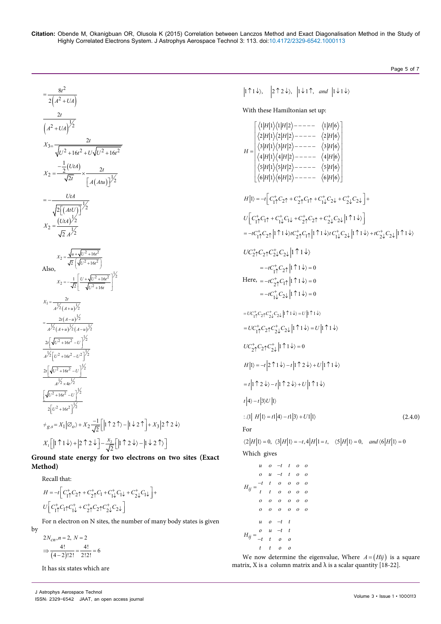Page 5 of 7

$$
\frac{8t^2}{2(4^2+U4)}
$$
\n
$$
\frac{2t}{(4^2+U4)^{\frac{1}{2}}}
$$
\n
$$
X_3 = \frac{2t}{\sqrt{U^2+16t^2+U\sqrt{U^2+16t^2}}}
$$
\n
$$
X_2 = \frac{-\frac{1}{2}(UtA)}{\sqrt{2t}} \times \frac{2t}{[A(Atu)]^{\frac{1}{2}}}
$$
\n
$$
= -\frac{UtA}{\sqrt{2[(AtU)]^{\frac{1}{2}}}}
$$
\n
$$
X_2 = \frac{(UtA)^{\frac{1}{2}}}{\sqrt{2}A^{\frac{1}{2}}}
$$
\n
$$
X_3 = \frac{\sqrt{u}+\sqrt{u^2+16t^2}}{\sqrt{2}(\sqrt{u^2+16t^2})}
$$
\nAlso,  
\n
$$
X_2 = -\frac{1}{\sqrt{2}}\left[\frac{U+\sqrt{U^2+16t^2}}{\sqrt{U^2+16t}}\right]^{\frac{1}{2}}
$$
\n
$$
X_1 = \frac{2t}{A^{\frac{1}{2}}(A+u)^{\frac{1}{2}}}
$$
\n
$$
= \frac{2t(A-u)^{\frac{1}{2}}}{A^{\frac{1}{2}}(A+u)^{\frac{1}{2}}(A-u)^{\frac{1}{2}}}
$$
\n
$$
\frac{2t[\sqrt{U^2+16t^2}-U]^{\frac{1}{2}}}{A^{\frac{1}{2}}(u^2+16t^2-U^2)^{\frac{1}{2}}}
$$
\n
$$
\frac{2t[\sqrt{U^2+16t^2}-U]^{\frac{1}{2}}}{A^{\frac{1}{2}} \times 4t^{\frac{1}{2}}}
$$
\n
$$
\frac{t}{2}[U^2+16t^2-U]^{\frac{1}{2}}}
$$
\n
$$
+g.s = X_1 |\emptyset_0\rangle + X_2 \frac{-1}{\sqrt{2}} [\left|1 \uparrow 2 \uparrow\rangle - \left|1 \downarrow 2 \uparrow\right\rangle + X_3 |2 \uparrow 2 \downarrow\rangle
$$
\n
$$
X_1 [\left|1 \uparrow 1 \downarrow\rangle + \left|2 \uparrow 2 \downarrow 2 \uparrow\rangle - \frac{x_2}{\sqrt{2}} [\left|1 \uparrow 2
$$

**Ground state energy for two electrons on two sites (Exact Method)**

Recall that:

by

$$
H = -t \left[ C_{1\uparrow}^{+} C_{2\uparrow} + C_{2\uparrow}^{+} C_{1} + C_{1\downarrow}^{+} C_{1\downarrow} + C_{2\downarrow}^{+} C_{1\downarrow} \right] +
$$
  

$$
U \left[ C_{1\uparrow}^{+} C_{1\uparrow} C_{1\downarrow}^{+} + C_{2\uparrow}^{+} C_{2\uparrow} C_{2\downarrow}^{+} C_{2\downarrow} \right]
$$

For n electron on N sites, the number of many body states is given

$$
2N_{cn}, n = 2, N = 2
$$
  

$$
\Rightarrow \frac{4!}{(4-2)!2!} = \frac{4!}{2!2!} = 6
$$

It has six states which are

 $\vert 1 \uparrow 1 \downarrow \rangle, \quad \vert 2 \uparrow 2 \downarrow \rangle, \vert 1 \downarrow 1 \uparrow, \text{ and } \vert 1 \downarrow 1 \downarrow \rangle$ 

With these Hamiltonian set up:

$$
H = \begin{cases}\n\langle 1|H|1 \rangle \langle 1|H|2 \rangle - - - - - \langle 1|H|6 \rangle \\
\langle 2|H|1 \rangle \langle 2|H|2 \rangle - - - - - \langle 2|H|6 \rangle \\
\langle 3|H|1 \rangle \langle 3|H|2 \rangle - - - - - \langle 3|H|6 \rangle \\
\langle 4|H|1 \rangle \langle 4|H|2 \rangle - - - - - \langle 4|H|6 \rangle \\
\langle 5|H|1 \rangle \langle 5|H|2 \rangle - - - - - \langle 6|H|6 \rangle\n\end{cases}
$$
\n
$$
H|I) = -r \Big[ C_{11}^+ C_{21}^+ + C_{21}^+ C_{11}^+ + C_{12}^+ C_{24} + C_{22}^+ C_{24} \Big] +
$$
\n
$$
U \Big[ C_{11}^+ C_{11}^+ + C_{11}^+ C_{11}^+ + C_{21}^+ C_{21} + C_{22}^+ C_{24} \Big] |1111 \rangle
$$
\n
$$
= -C_{11}^+ C_{21} |1111 \rangle \langle C_{21}^+ C_{21}^+ |1111 \rangle \langle C_{11}^+ C_{22}^+ |1111 \rangle + C_{12}^+ C_{22} |1111 \rangle + C_{22}^+ C_{22} \Big| |1111 \rangle
$$
\n
$$
U C_{21}^+ C_{22} C_{22}^+ C_{22} \Big| |1111 \rangle = 0
$$
\nHere,  $= -C_{21}^+ C_{21} |1111 \rangle = 0$   
\n $= -C_{11}^+ C_{21} |111 \rangle = 0$   
\n $= -C_{11}^+ C_{22} |1111 \rangle = 0$   
\n $= U C_{11}^+ C_{21} C_{22}^+ |1111 \rangle = 0$   
\n
$$
= U C_{11}^+ C_{21} C_{22}^+ |1111 \rangle = U |1111 \rangle
$$
\n
$$
U C_{21}^+ C_{21} C_{22}^+ |1111 \rangle = U |1111 \rangle
$$
\n
$$
U C
$$

We now determine the eigenvalue, Where  $A = (Hij)$  is a square matrix, X is a column matrix and  $\lambda$  is a scalar quantity [18-22].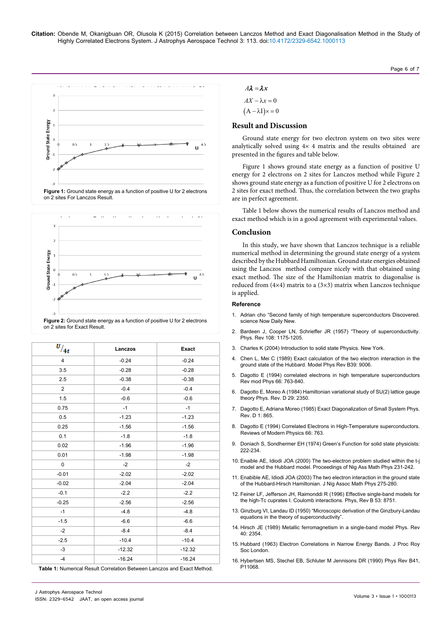



| <b>Figure 2:</b> Ground state energy as a function of positive U for 2 electrons |  |
|----------------------------------------------------------------------------------|--|
| on 2 sites for Exact Result.                                                     |  |
|                                                                                  |  |

| $v_{/4t}$      | Lanczos  | <b>Exact</b> |
|----------------|----------|--------------|
| $\overline{4}$ | $-0.24$  | $-0.24$      |
| 3.5            | $-0.28$  | $-0.28$      |
| 2.5            | $-0.38$  | $-0.38$      |
| 2              | $-0.4$   | $-0.4$       |
| 1.5            | $-0.6$   | $-0.6$       |
| 0.75           | $-1$     | $-1$         |
| 0.5            | $-1.23$  | $-1.23$      |
| 0.25           | $-1.56$  | $-1.56$      |
| 0.1            | $-1.8$   | $-1.8$       |
| 0.02           | $-1.96$  | $-1.96$      |
| 0.01           | $-1.98$  | $-1.98$      |
| $\pmb{0}$      | $-2$     | $-2$         |
| $-0.01$        | $-2.02$  | $-2.02$      |
| $-0.02$        | $-2.04$  | $-2.04$      |
| $-0.1$         | $-2.2$   | $-2.2$       |
| $-0.25$        | $-2.56$  | $-2.56$      |
| $-1$           | $-4.8$   | $-4.8$       |
| $-1.5$         | $-6.6$   | $-6.6$       |
| $-2$           | $-8.4$   | $-8.4$       |
| $-2.5$         | $-10.4$  | $-10.4$      |
| $-3$           | $-12.32$ | $-12.32$     |
| $-4$           | $-16.24$ | $-16.24$     |

**Table 1:** Numerical Result Correlation Between Lanczos and Exact Method.

 $AX - \lambda x = 0$  $(A - \lambda I) \times = 0$ 

### **Result and Discussion**

Ground state energy for two electron system on two sites were analytically solved using 4× 4 matrix and the results obtained are presented in the figures and table below.

Page 6 of 7

Figure 1 shows ground state energy as a function of positive U energy for 2 electrons on 2 sites for Lanczos method while Figure 2 shows ground state energy as a function of positive U for 2 electrons on 2 sites for exact method. Thus, the correlation between the two graphs are in perfect agreement.

Table 1 below shows the numerical results of Lanczos method and exact method which is in a good agreement with experimental values.

### **Conclusion**

In this study, we have shown that Lanczos technique is a reliable numerical method in determining the ground state energy of a system described by the Hubbard Hamiltonian. Ground state energies obtained using the Lanczos method compare nicely with that obtained using exact method. The size of the Hamiltonian matrix to diagonalise is reduced from  $(4\times4)$  matrix to a  $(3\times3)$  matrix when Lanczos technique is applied.

#### **Reference**

- 1. Adrian cho "Second family of high temperature superconductors Discovered. science Now Daily New
- 2. Bardeen J, [Cooper LN, Schrieffer JR \(1957\) "Theory of superconductivity.](http://journals.aps.org/pr/abstract/10.1103/PhysRev.108.1175)  Phys. Rev [108: 1175-1205.](http://journals.aps.org/pr/abstract/10.1103/PhysRev.108.1175)
- 3. [Charles K \(2004\) Introduction to solid state Physics. New York.](https://books.google.co.in/books?id=kym4QgAACAAJ&dq=Charles+K+Introduction+to+solid+state+Physics+New+York:+Wiley.&hl=en&sa=X&ei=d2dIVebbEJWPuASDsIAI&ved=0CDMQ6AEwAg)
- 4. [Chen L, Mei C \(1989\) Exact calculation of the two electron interaction in the](http://journals.aps.org/prb/abstract/10.1103/PhysRevB.39.9006)  [ground state of the Hubbard. Model Phys Rev B39:](http://journals.aps.org/prb/abstract/10.1103/PhysRevB.39.9006) 9006.
- 5. [Dagotto E \(1994\) correlated electrons in high temperature superconductors](http://journals.aps.org/rmp/abstract/10.1103/RevModPhys.66.763)  [Rev mod Phys](http://journals.aps.org/rmp/abstract/10.1103/RevModPhys.66.763) 66: 763-840.
- 6. Dagotto E, Moreo A [\(1984\) Hamiltonian variational study of SU\(2\) lattice gauge](http://journals.aps.org/prd/abstract/10.1103/PhysRevD.29.2350)  [theory Phys. Rev. D 29: 2350](http://journals.aps.org/prd/abstract/10.1103/PhysRevD.29.2350).
- 7. [Dagotto E, Adriana Moreo \(1985\) Exact Diagonalization of Small System Phys.](http://link.springer.com/chapter/10.1007%2F978-1-4684-5763-6_23)  [Rev. D 1: 865.](http://link.springer.com/chapter/10.1007%2F978-1-4684-5763-6_23)
- 8. Dagotto E (1994) [Correlated Electrons in High-Temperature superconductors.](http://journals.aps.org/rmp/abstract/10.1103/RevModPhys.66.763)  [Reviews of Modern Physics 66:](http://journals.aps.org/rmp/abstract/10.1103/RevModPhys.66.763) 763.
- 9. [Doniach S, Sondhermer EH \(1974\) Green's Function for solid state physicists:](http://www.worldscientific.com/worldscibooks/10.1142/p067)  [222-234.](http://www.worldscientific.com/worldscibooks/10.1142/p067)
- 10. Enaible AE, Idiodi JOA (2000) The two-electron problem studied within the t-j model and the Hubbard model. Proceedings of Nig Ass Math Phys 231-242.
- 11. Enabible AE, Idiodi JOA (2003) [The two electron interaction in the ground state](http://www.angelfire.com/alt2/namp/enaibe.htm)  [of the Hubbard-Hirsch Hamiltonian. J Nig Assoc Math Phys 275-280.](http://www.angelfire.com/alt2/namp/enaibe.htm)
- 12. [Feiner LF, Jefferson JH, Raimonddi R \(1996\) Effective single-band models for](http://journals.aps.org/prb/abstract/10.1103/PhysRevB.53.8751)  [the high-Tc cuprates I. Coulomb interactions. Phys, Rev B 53:](http://journals.aps.org/prb/abstract/10.1103/PhysRevB.53.8751) 8751.
- 13. Ginzburg VI, Landau ID (1950) ["Microscopic derivation of the Ginzbury-Landau](http://en.wikipedia.org/wiki/Ginzburg%E2%80%93Landau_theory)  [equations in the theory of superconductivity".](http://en.wikipedia.org/wiki/Ginzburg%E2%80%93Landau_theory)
- 14. [Hirsch JE \(1989\) Metallic ferromagnetism in a single-band model Phys. Rev](http://journals.aps.org/prb/abstract/10.1103/PhysRevB.40.2354)  40: [2354.](http://journals.aps.org/prb/abstract/10.1103/PhysRevB.40.2354)
- 15. [Hubbard \(1963\) Electron Correlations in Narrow Energy Bands. J Proc Roy](http://rspa.royalsocietypublishing.org/content/276/1365/238)  [Soc London.](http://rspa.royalsocietypublishing.org/content/276/1365/238)
- 16. Hybertsen MS, Stechel EB, Schluter M Jennisons DR (1990) Phys Rev B41, P11068.